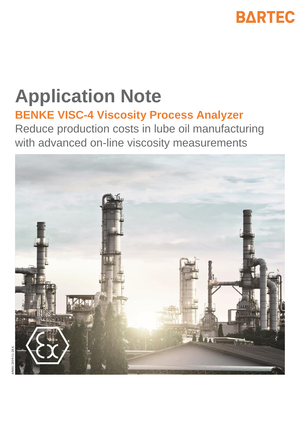

# **Application Note BENKE VISC-4 Viscosity Process Analyzer**

Reduce production costs in lube oil manufacturing with advanced on-line viscosity measurements

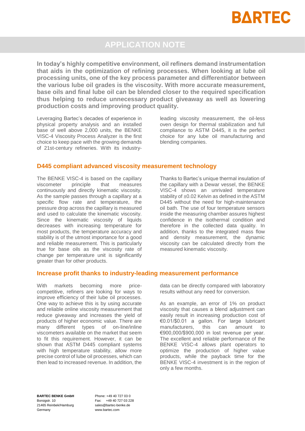

## **APPLICATION NOTE**

**In today's highly competitive environment, oil refiners demand instrumentation that aids in the optimization of refining processes. When looking at lube oil processing units, one of the key process parameter and differentiator between the various lube oil grades is the viscosity. With more accurate measurement, base oils and final lube oil can be blended closer to the required specification thus helping to reduce unnecessary product giveaway as well as lowering production costs and improving product quality.**

Leveraging Bartec's decades of experience in physical property analysis and an installed base of well above 2,000 units, the BENKE VISC-4 Viscosity Process Analyzer is the first choice to keep pace with the growing demands of 21st-century refineries. With its industryleading viscosity measurement, the oil-less oven design for thermal stabilization and full compliance to ASTM D445, it is the perfect choice for any lube oil manufacturing and blending companies.

#### **D445 compliant advanced viscosity measurement technology**

The BENKE VISC-4 is based on the capillary viscometer principle that measures continuously and directly kinematic viscosity. As the sample passes through a capillary at a specific flow rate and temperature, the pressure drop across the capillary is measured and used to calculate the kinematic viscosity. Since the kinematic viscosity of liquids decreases with increasing temperature for most products, the temperature accuracy and stability is of the utmost importance for a good and reliable measurement. This is particularly true for base oils as the viscosity rate of change per temperature unit is significantly greater than for other products.

Thanks to Bartec's unique thermal insulation of the capillary with a Dewar vessel, the BENKE VISC-4 shows an unrivaled temperature stability of ±0.02 Kelvin as defined in the ASTM D445 without the need for high-maintenance oil bath. The use of four temperature sensors inside the measuring chamber assures highest confidence in the isothermal condition and therefore in the collected data quality. In addition, thanks to the integrated mass flow and density measurement, the dynamic viscosity can be calculated directly from the measured kinematic viscosity.

## **Increase profit thanks to industry-leading measurement performance**

With markets becoming more pricecompetitive, refiners are looking for ways to improve efficiency of their lube oil processes. One way to achieve this is by using accurate and reliable online viscosity measurement that reduce giveaway and increases the yield of products of higher economic value. There are many different types of on-line/inline viscometers available on the market that seem to fit this requirement. However, it can be shown that ASTM D445 compliant systems with high temperature stability, allow more precise control of lube oil processes, which can then lead to increased revenue. In addition, the

data can be directly compared with laboratory results without any need for conversion.

As an example, an error of 1% on product viscosity that causes a blend adjustment can easily result in increasing production cost of €0.01/\$0.01 a gallon. For large lubricant manufacturers, this can amount to €900,000/\$900,000 in lost revenue per year. The excellent and reliable performance of the BENKE VISC-4 allows plant operators to optimize the production of higher value products, while the payback time for the BENKE VISC-4 investment is in the region of only a few months.

**BARTEC BENKE GmbH** Borsigstr. 10 21465 Reinbek/Hamburg Germany

Phone: +49 40 727 03 0 Fax: +49 40 727 03 228 sales@bartec-benke.de www.bartec.com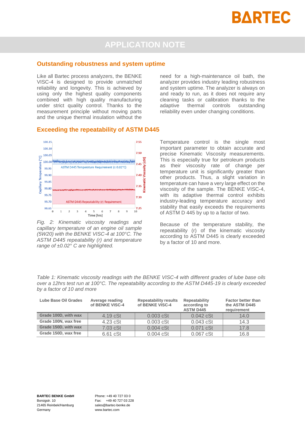

# **APPLICATION NOTE**

#### **Outstanding robustness and system uptime**

Like all Bartec process analyzers, the BENKE VISC-4 is designed to provide unmatched reliability and longevity. This is achieved by using only the highest quality components combined with high quality manufacturing under strict quality control. Thanks to the measurement principle without moving parts and the unique thermal insulation without the

need for a high-maintenance oil bath, the analyzer provides industry leading robustness and system uptime. The analyzer is always on and ready to run, as it does not require any cleaning tasks or calibration thanks to the adaptive thermal controls outstanding reliability even under changing conditions.

#### **Exceeding the repeatability of ASTM D445**



*Fig. 2: Kinematic viscosity readings and capillary temperature of an engine oil sample (5W20) with the BENKE VISC-4 at 100°C. The ASTM D445 repeatability (r) and temperature range of ±0.02° C are highlighted.*

Temperature control is the single most important parameter to obtain accurate and precise Kinematic Viscosity measurements. This is especially true for petroleum products as their viscosity rate of change per temperature unit is significantly greater than other products. Thus, a slight variation in temperature can have a very large effect on the viscosity of the sample. The BENKE VISC-4, with its adaptive thermal control exhibits industry-leading temperature accuracy and stability that easily exceeds the requirements of ASTM D 445 by up to a factor of two.

Because of the temperature stability, the repeatability (r) of the kinematic viscosity according to ASTM D445 is clearly exceeded by a factor of 10 and more.

*Table 1: Kinematic viscosity readings with the BENKE VISC-4 with different grades of lube base oils over a 12hrs test run at 100°C. The repeatability according to the ASTM D445-19 is clearly exceeded by a factor of 10 and more*

| Lube Base Oil Grades | Average reading<br>of BENKE VISC-4 | <b>Repeatability results</b><br>of BENKE VISC-4 | Repeatability<br>according to<br><b>ASTM D445</b> | <b>Factor better than</b><br>the ASTM D445<br>requirement |
|----------------------|------------------------------------|-------------------------------------------------|---------------------------------------------------|-----------------------------------------------------------|
| Grade 100D, with wax | 4.19 cSt                           | $0.003$ cSt                                     | $0.042$ cSt                                       | 14.0                                                      |
| Grade 100N, wax free | $4.23$ cSt                         | $0.003$ cSt                                     | $0.043$ cSt                                       | 14.3                                                      |
| Grade 150D, with wax | 7.03 cSt                           | $0.004$ $cSt$                                   | 0.071 cSt                                         | 17.8                                                      |
| Grade 150D, wax free | 6.61 cSt                           | $0.004$ $cSt$                                   | $0.067$ $cSt$                                     | 16.8                                                      |

Phone: +49 40 727 03 0 Fax: +49 40 727 03 228 sales@bartec-benke.de www.bartec.com